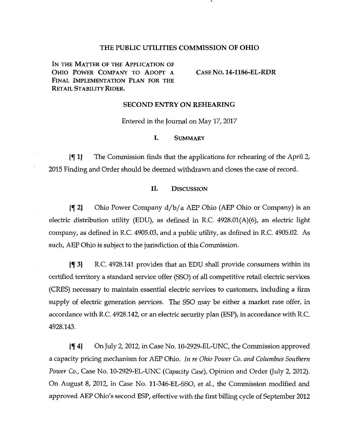# THE PUBLIC UTILITIES COMMISSION OF OHIO

IN THE MATTER OF THE APPLICATION OF OHIO POWER COMPANY TO ADOPT A CASE NO . 14-1186-EL-RDR FINAL IMPLEMENTATION PLAN FOR THE RETAIL STABILITY RIDER.

### **SECOND ENTRY ON REHEARING**

Entered in the Journal on May 17, 2017 Entered in the Journal on May 17, 2017

#### L. **SUMMARY**

jf 1} The Commission finds that the applications for rehearing of the April 2, 2015 Finding and Order should be deemed withdrawn and closes the case of record.

# II. DISCUSSION

{f 2) Ohio Power Company d/b/ a AEP Ohio (AEP Ohio or Company) is an electric distribution utility (EDU), as defined in R.C. 4928.01(A)(6), an electric light company, as defined in R.C. 4905.03, and a public utility, as defined in R.C. 4905.02. As such, AEP Ohio is subject to the jurisdiction of this Commission.

jf 3) R.C. 4928.141 provides that an EDU shall provide consumers within its certified territory a standard service offer (SSO) of all competitive retail electric services (CRES) necessary to maintain essential electric services to customers, including a firm supply of electric generation services. The SSO may be either a market rate offer, in accordance with R.C. 4928.142, or an electric security plan (ESP), in accordance with R.C. 4928.143.

 $\left\{ \P \right\}$  On July 2, 2012, in Case No. 10-2929-EL-UNC, the Commission approved a capacity pricing mechanism for AEP Ohio. In re Ohio Power Co. and Columbus Southern Power Co., Case No. 10-2929-EL-UNC (Capacity Case), Opinion and Order (July 2, 2012). On August 8, 2012, in Case No. 11-346-EL-SSO, et al., the Commission modified and approved AEP Ohio's second ESP, effective with the first billing cycle of September 2012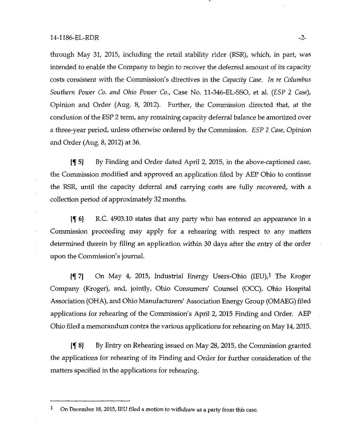through May 31, 2015, including the retail stability rider (RSR), which, in part, was intended to enable the Company to begin to recover the deferred amount of its capacity costs consistent with the Commission's directives in the Capacity Case. In re Columbus Southern Power Co. and Ohio Power Co., Case No. 11-346-EL-SSO, et al. (ESP 2 Case), Opinion and Order (Aug. 8, 2012). Further, the Commission directed that, at the conclusion of the ESP 2 term, any remaining capacity deferral balance be amortized over a three-year period, unless otherwise ordered by the Commission. ESP 2 Case, Opinion and Order (Aug. 8, 2012) at 36.

 $\{\P\}$  By Finding and Order dated April 2, 2015, in the above-captioned case, the Commission modified and approved an application filed by AEP Ohio to continue the RSR, until the capacity deferral and carrying costs are fully recovered, with a collection period of approximately 32 months.

If 6) R.C. 4903.10 states that any party who has entered an appearance in a Commission proceeding may apply for a rehearing with respect to any matters determined therein by filing an application within 30 days after the entry of the order upon the Commission's journal.

 $\left\{\nabla g\right\}$  On May 4, 2015, Industrial Energy Users-Ohio (IEU), The Kroger Company (Kroger), and, jointly, Ohio Consumers' Counsel (OCC), Ohio Hospital Association (OHA), and Ohio Manufacturers' Association Energy Group (OMAEG) filed applications for rehearing of the Commission's April 2, 2015 Finding and Order. AEP Ohio filed a memorandum contra the various applications for rehearing on May 14,2015.

jf 8} By Entry on Rehearing issued on May 28, 2015, the Commission granted the applications for rehearing of its Finding and Order for further consideration of the matters specified in the applications for rehearing.

 $1$  On December 18, 2015, IEU filed a motion to withdraw as a party from this case.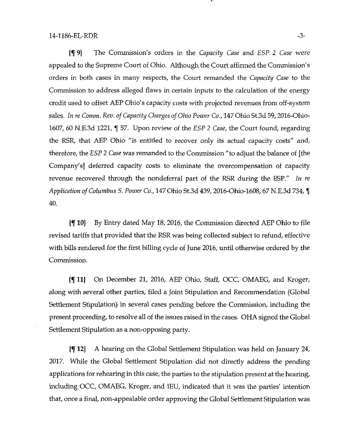jf 9} The Commission's orders in the Capacity Case and ESP 2 Case were appealed to the Supreme Court of Ohio. Although the Court affirmed the Commission's orders in both cases in many respects, the Court remanded the Capacity Case to the Commission to address alleged flaws in certain inputs to the calculation of the energy credit used to offset AEP Ohio's capacity costs with projected revenues from off-system sales. In re Comm. Rev. of Capacity Charges of Ohio Power Co., 147 Ohio St.3d 59,2016-Ohio-1607, 60 N.E.3d 1221, f 57. Upon review of the ESP 2 Case, the Court found, regarding the RSR, that AEP Ohio "is entitled to recover only its actual capacity costs" and, therefore, the ESP 2 Case was remanded to the Commission "to adjust the balance of [the Company's] deferred capacity costs to eliminate the overcompensation of capacity revenue recovered through the nondeferral part of the RSR during the ESP." In re Application of Columbus S. Power Co., 147 Ohio St.3d 439, 2016-Ohio-1608, 67 N.E.3d 734, f 40.

jf 10) By Entry dated May 18, 2016, the Commission directed AEP Ohio to file revised tariffs that provided that the RSR was being collected subject to refund, effective with bills rendered for the first billing cycle of June 2016, until otherwise ordered by the Commission.

jf 11) On December 21, 2016, AEP Ohio, Staff, OCC, OMAEG, and Kroger, along with several other parties, filed a Joint Stipulation and Recommendation (Global Settlement Stipulation) in several cases pending before the Commission, including the present proceeding, to resolve all of the issues raised in the cases. OHA signed the Global Settiement Stipulation as a non-opposing party.

jf 12} A hearing on the Global Settlement Stipulation was held on January 24, 2017. While the Global Settlement Stipulation did not directiy address the pending applications for rehearing in this case, the parties to the stipulation present at the hearing, including OCC, OMAEG, Kroger, and lEU, indicated that it was the parties' intention that, once a final, non-appealable order approving the Global Settlement Stipulation was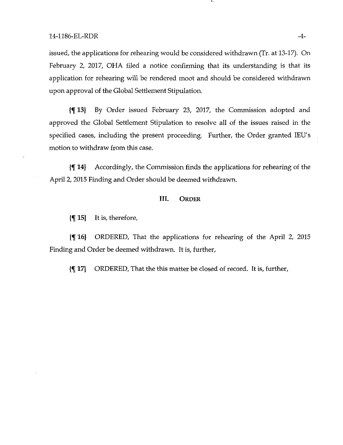issued, the applications for rehearing would be considered withdrawn (Tr. at 13-17). On February 2, 2017, OHA filed a notice confirming that its understanding is that its application for rehearing will be rendered moot and should be considered withdrawn upon approval of the Global Settlement Stipulation.

jf 13) By Order issued February 23, 2017, the Commission adopted and approved the Global Settlement Stipulation to resolve all of the issues raised in the specified cases, including the present proceeding. Further, the Order granted lEU's motion to withdraw from this case.

jf 14} Accordingly, the Commission finds the applications for rehearing of the April 2, 2015 Finding and Order should be deemed withdrawn.

# III. ORDER

 $\{\P 15\}$  It is, therefore,

jf 16} ORDERED, That the applications for rehearing of the April 2, 2015 Finding and Order be deemed withdrawn. It is, further,

{f 17} ORDERED, That the this matter be closed of record. It is, further.